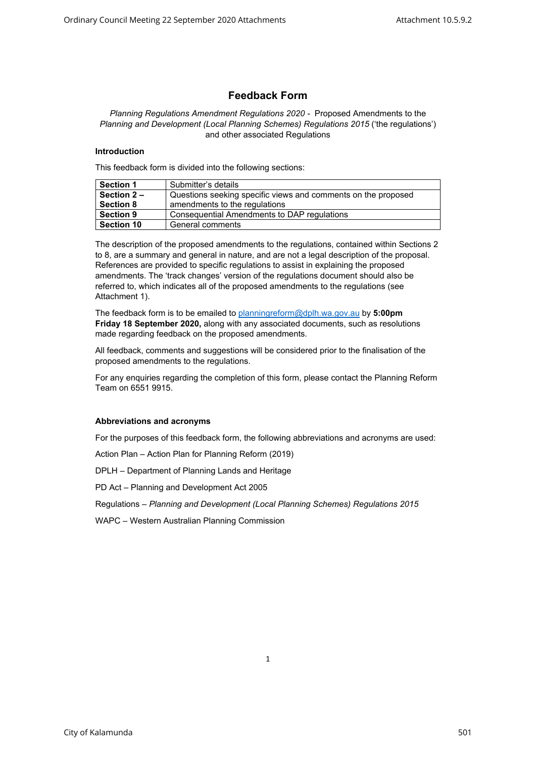# **Feedback Form**

*Planning Regulations Amendment Regulations 2020 -* Proposed Amendments to the *Planning and Development (Local Planning Schemes) Regulations 2015* ('the regulations') and other associated Regulations

#### **Introduction**

This feedback form is divided into the following sections:

| <b>Section 1</b>  | Submitter's details                                           |  |
|-------------------|---------------------------------------------------------------|--|
| Section 2-        | Questions seeking specific views and comments on the proposed |  |
| <b>Section 8</b>  | amendments to the regulations                                 |  |
| <b>Section 9</b>  | Consequential Amendments to DAP regulations                   |  |
| <b>Section 10</b> | General comments                                              |  |

The description of the proposed amendments to the regulations, contained within Sections 2 to 8, are a summary and general in nature, and are not a legal description of the proposal. References are provided to specific regulations to assist in explaining the proposed amendments. The 'track changes' version of the regulations document should also be referred to, which indicates all of the proposed amendments to the regulations (see Attachment 1).

The feedback form is to be emailed to [planningreform@dplh.wa.gov.](mailto:planningreform@dplh.wa.gov)au by **5:00pm Friday 18 September 2020,** along with any associated documents, such as resolutions made regarding feedback on the proposed amendments.

All feedback, comments and suggestions will be considered prior to the finalisation of the proposed amendments to the regulations.

For any enquiries regarding the completion of this form, please contact the Planning Reform Team on 6551 9915.

### **Abbreviations and acronyms**

For the purposes of this feedback form, the following abbreviations and acronyms are used:

Action Plan – Action Plan for Planning Reform (2019)

DPLH – Department of Planning Lands and Heritage

PD Act – Planning and Development Act 2005

Regulations – *Planning and Development (Local Planning Schemes) Regulations 2015*

WAPC – Western Australian Planning Commission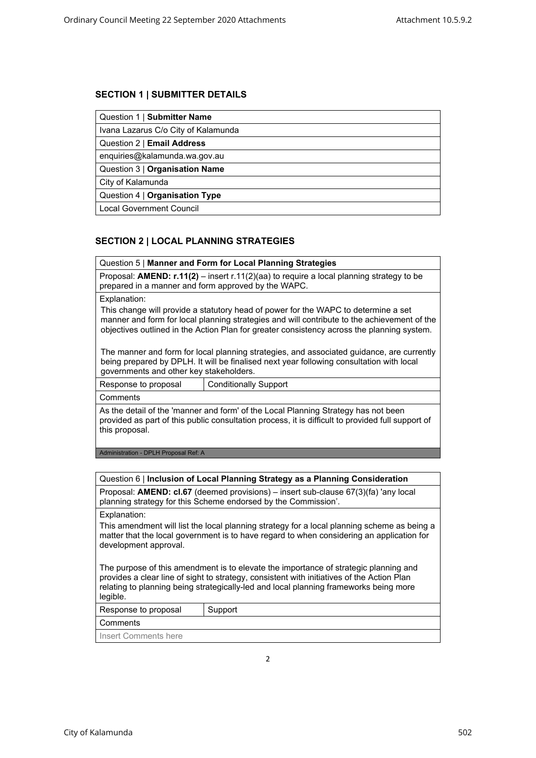# **SECTION 1 | SUBMITTER DETAILS**

| Question 1   Submitter Name         |  |
|-------------------------------------|--|
| Ivana Lazarus C/o City of Kalamunda |  |
| Question 2   Email Address          |  |
| enquiries@kalamunda.wa.gov.au       |  |
| Question 3   Organisation Name      |  |
| City of Kalamunda                   |  |
| Question 4   Organisation Type      |  |
| <b>Local Government Council</b>     |  |

# **SECTION 2 | LOCAL PLANNING STRATEGIES**

Question 5 | **Manner and Form for Local Planning Strategies**

Proposal: **AMEND: r.11(2)** – insert r.11(2)(aa) to require a local planning strategy to be prepared in a manner and form approved by the WAPC.

Explanation:

This change will provide a statutory head of power for the WAPC to determine a set manner and form for local planning strategies and will contribute to the achievement of the objectives outlined in the Action Plan for greater consistency across the planning system.

The manner and form for local planning strategies, and associated guidance, are currently being prepared by DPLH. It will be finalised next year following consultation with local governments and other key stakeholders.

Response to proposal | Conditionally Support

**Comments** 

As the detail of the 'manner and form' of the Local Planning Strategy has not been provided as part of this public consultation process, it is difficult to provided full support of this proposal.

Administration - DPLH Proposal Ref: A

|  |  |  | Question 6   Inclusion of Local Planning Strategy as a Planning Consideration |
|--|--|--|-------------------------------------------------------------------------------|
|--|--|--|-------------------------------------------------------------------------------|

Proposal: **AMEND: cl.67** (deemed provisions) – insert sub-clause 67(3)(fa) 'any local planning strategy for this Scheme endorsed by the Commission'.

Explanation:

This amendment will list the local planning strategy for a local planning scheme as being a matter that the local government is to have regard to when considering an application for development approval.

The purpose of this amendment is to elevate the importance of strategic planning and provides a clear line of sight to strategy, consistent with initiatives of the Action Plan relating to planning being strategically-led and local planning frameworks being more legible.

| Response to proposal | Support |
|----------------------|---------|
|----------------------|---------|

**Comments** 

Insert Comments here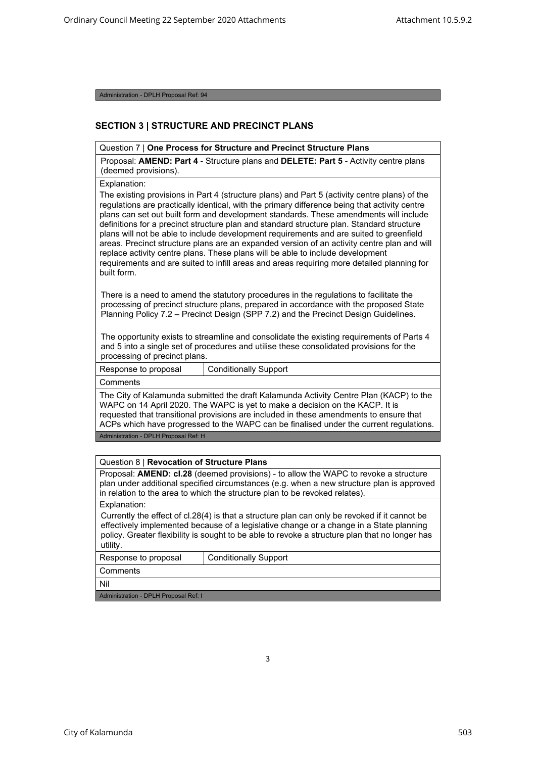Administration - DPLH Proposal Ref: 94

## **SECTION 3 | STRUCTURE AND PRECINCT PLANS**

#### Question 7 | **One Process for Structure and Precinct Structure Plans**

Proposal: **AMEND: Part 4** - Structure plans and **DELETE: Part 5** - Activity centre plans (deemed provisions).

Explanation:

The existing provisions in Part 4 (structure plans) and Part 5 (activity centre plans) of the regulations are practically identical, with the primary difference being that activity centre plans can set out built form and development standards. These amendments will include definitions for a precinct structure plan and standard structure plan. Standard structure plans will not be able to include development requirements and are suited to greenfield areas. Precinct structure plans are an expanded version of an activity centre plan and will replace activity centre plans. These plans will be able to include development requirements and are suited to infill areas and areas requiring more detailed planning for built form.

There is a need to amend the statutory procedures in the regulations to facilitate the processing of precinct structure plans, prepared in accordance with the proposed State Planning Policy 7.2 – Precinct Design (SPP 7.2) and the Precinct Design Guidelines.

The opportunity exists to streamline and consolidate the existing requirements of Parts 4 and 5 into a single set of procedures and utilise these consolidated provisions for the processing of precinct plans.

Response to proposal | Conditionally Support

Comments

The City of Kalamunda submitted the draft Kalamunda Activity Centre Plan (KACP) to the WAPC on 14 April 2020. The WAPC is yet to make a decision on the KACP. It is requested that transitional provisions are included in these amendments to ensure that ACPs which have progressed to the WAPC can be finalised under the current regulations.

Administration - DPLH Proposal Ref: H

#### Question 8 | **Revocation of Structure Plans**

Proposal: **AMEND: cl.28** (deemed provisions) - to allow the WAPC to revoke a structure plan under additional specified circumstances (e.g. when a new structure plan is approved in relation to the area to which the structure plan to be revoked relates).

Explanation:

Currently the effect of cl.28(4) is that a structure plan can only be revoked if it cannot be effectively implemented because of a legislative change or a change in a State planning policy. Greater flexibility is sought to be able to revoke a structure plan that no longer has utility.

3

Response to proposal Conditionally Support

**Comments** 

Nil

Administration - DPLH Proposal Ref: I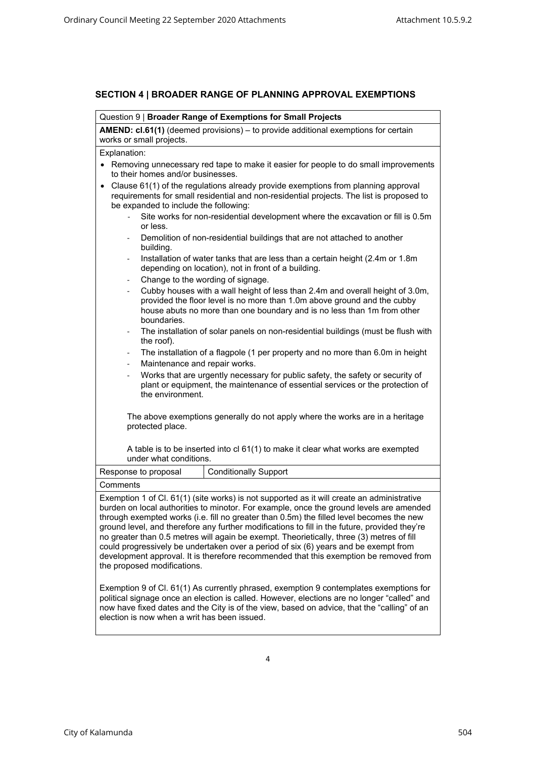# **SECTION 4 | BROADER RANGE OF PLANNING APPROVAL EXEMPTIONS**

|                                                                                                                                                        | Question 9   Broader Range of Exemptions for Small Projects                                                                                                                                                                                                                                                                                                                                                                                                                                                                                                                                                                                                                                    |  |  |  |
|--------------------------------------------------------------------------------------------------------------------------------------------------------|------------------------------------------------------------------------------------------------------------------------------------------------------------------------------------------------------------------------------------------------------------------------------------------------------------------------------------------------------------------------------------------------------------------------------------------------------------------------------------------------------------------------------------------------------------------------------------------------------------------------------------------------------------------------------------------------|--|--|--|
|                                                                                                                                                        | <b>AMEND: cl.61(1)</b> (deemed provisions) – to provide additional exemptions for certain<br>works or small projects.                                                                                                                                                                                                                                                                                                                                                                                                                                                                                                                                                                          |  |  |  |
|                                                                                                                                                        | Explanation:                                                                                                                                                                                                                                                                                                                                                                                                                                                                                                                                                                                                                                                                                   |  |  |  |
|                                                                                                                                                        | Removing unnecessary red tape to make it easier for people to do small improvements<br>to their homes and/or businesses.                                                                                                                                                                                                                                                                                                                                                                                                                                                                                                                                                                       |  |  |  |
|                                                                                                                                                        | Clause 61(1) of the regulations already provide exemptions from planning approval<br>$\bullet$<br>requirements for small residential and non-residential projects. The list is proposed to<br>be expanded to include the following:                                                                                                                                                                                                                                                                                                                                                                                                                                                            |  |  |  |
|                                                                                                                                                        | Site works for non-residential development where the excavation or fill is 0.5m<br>or less.                                                                                                                                                                                                                                                                                                                                                                                                                                                                                                                                                                                                    |  |  |  |
|                                                                                                                                                        | Demolition of non-residential buildings that are not attached to another<br>$\sim$<br>building.                                                                                                                                                                                                                                                                                                                                                                                                                                                                                                                                                                                                |  |  |  |
| Installation of water tanks that are less than a certain height (2.4m or 1.8m<br>$\blacksquare$<br>depending on location), not in front of a building. |                                                                                                                                                                                                                                                                                                                                                                                                                                                                                                                                                                                                                                                                                                |  |  |  |
|                                                                                                                                                        | Change to the wording of signage.<br>$\blacksquare$<br>Cubby houses with a wall height of less than 2.4m and overall height of 3.0m,<br>$\overline{\phantom{0}}$<br>provided the floor level is no more than 1.0m above ground and the cubby<br>house abuts no more than one boundary and is no less than 1m from other<br>boundaries.                                                                                                                                                                                                                                                                                                                                                         |  |  |  |
|                                                                                                                                                        | The installation of solar panels on non-residential buildings (must be flush with<br>the roof).                                                                                                                                                                                                                                                                                                                                                                                                                                                                                                                                                                                                |  |  |  |
|                                                                                                                                                        | The installation of a flagpole (1 per property and no more than 6.0m in height<br>Maintenance and repair works.                                                                                                                                                                                                                                                                                                                                                                                                                                                                                                                                                                                |  |  |  |
|                                                                                                                                                        | Works that are urgently necessary for public safety, the safety or security of<br>$\overline{\phantom{a}}$<br>plant or equipment, the maintenance of essential services or the protection of<br>the environment.                                                                                                                                                                                                                                                                                                                                                                                                                                                                               |  |  |  |
| The above exemptions generally do not apply where the works are in a heritage<br>protected place.                                                      |                                                                                                                                                                                                                                                                                                                                                                                                                                                                                                                                                                                                                                                                                                |  |  |  |
|                                                                                                                                                        | A table is to be inserted into cl 61(1) to make it clear what works are exempted<br>under what conditions.                                                                                                                                                                                                                                                                                                                                                                                                                                                                                                                                                                                     |  |  |  |
|                                                                                                                                                        | Response to proposal<br><b>Conditionally Support</b>                                                                                                                                                                                                                                                                                                                                                                                                                                                                                                                                                                                                                                           |  |  |  |
| Comments                                                                                                                                               |                                                                                                                                                                                                                                                                                                                                                                                                                                                                                                                                                                                                                                                                                                |  |  |  |
|                                                                                                                                                        | Exemption 1 of Cl. 61(1) (site works) is not supported as it will create an administrative<br>burden on local authorities to minotor. For example, once the ground levels are amended<br>through exempted works (i.e. fill no greater than 0.5m) the filled level becomes the new<br>ground level, and therefore any further modifications to fill in the future, provided they're<br>no greater than 0.5 metres will again be exempt. Theorietically, three (3) metres of fill<br>could progressively be undertaken over a period of six (6) years and be exempt from<br>development approval. It is therefore recommended that this exemption be removed from<br>the proposed modifications. |  |  |  |
|                                                                                                                                                        | Exemption 9 of Cl. 61(1) As currently phrased, exemption 9 contemplates exemptions for<br>political signage once an election is called. However, elections are no longer "called" and                                                                                                                                                                                                                                                                                                                                                                                                                                                                                                          |  |  |  |

now have fixed dates and the City is of the view, based on advice, that the "calling" of an

election is now when a writ has been issued.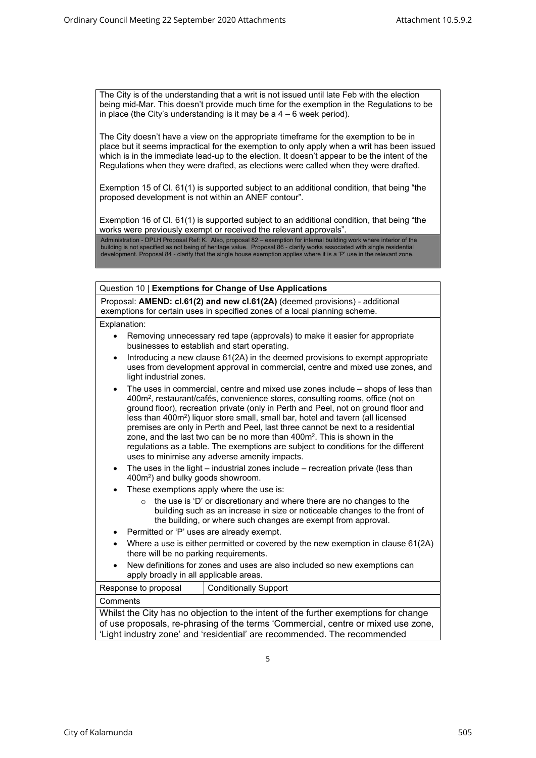The City is of the understanding that a writ is not issued until late Feb with the election being mid-Mar. This doesn't provide much time for the exemption in the Regulations to be in place (the City's understanding is it may be a  $4 - 6$  week period).

The City doesn't have a view on the appropriate timeframe for the exemption to be in place but it seems impractical for the exemption to only apply when a writ has been issued which is in the immediate lead-up to the election. It doesn't appear to be the intent of the Regulations when they were drafted, as elections were called when they were drafted.

Exemption 15 of Cl. 61(1) is supported subject to an additional condition, that being "the proposed development is not within an ANEF contour".

Exemption 16 of Cl. 61(1) is supported subject to an additional condition, that being "the works were previously exempt or received the relevant approvals".

Administration - DPLH Proposal Ref: K. Also, proposal 82 – exemption for internal building work where interior of the<br>building is not specified as not being of heritage value. Proposal 86 - clarify works associated with

Proposal: **AMEND: cl.61(2) and new cl.61(2A)** (deemed provisions) - additional exemptions for certain uses in specified zones of a local planning scheme.

Explanation:

- Removing unnecessary red tape (approvals) to make it easier for appropriate businesses to establish and start operating.
- Introducing a new clause 61(2A) in the deemed provisions to exempt appropriate uses from development approval in commercial, centre and mixed use zones, and light industrial zones.
- The uses in commercial, centre and mixed use zones include shops of less than 400m<sup>2</sup> , restaurant/cafés, convenience stores, consulting rooms, office (not on ground floor), recreation private (only in Perth and Peel, not on ground floor and less than 400m<sup>2</sup>) liquor store small, small bar, hotel and tavern (all licensed premises are only in Perth and Peel, last three cannot be next to a residential zone, and the last two can be no more than 400m<sup>2</sup>. This is shown in the regulations as a table. The exemptions are subject to conditions for the different uses to minimise any adverse amenity impacts.
- The uses in the light industrial zones include recreation private (less than 400m<sup>2</sup> ) and bulky goods showroom.
- These exemptions apply where the use is:
	- o the use is 'D' or discretionary and where there are no changes to the building such as an increase in size or noticeable changes to the front of the building, or where such changes are exempt from approval.
- Permitted or 'P' uses are already exempt.
- Where a use is either permitted or covered by the new exemption in clause 61(2A) there will be no parking requirements.
- New definitions for zones and uses are also included so new exemptions can apply broadly in all applicable areas.

| Response to proposal                                                                | <b>Conditionally Support</b> |  |
|-------------------------------------------------------------------------------------|------------------------------|--|
| Comments                                                                            |                              |  |
| Whilst the City has no objection to the intent of the further exemptions for change |                              |  |
| of use proposals, re-phrasing of the terms 'Commercial, centre or mixed use zone,   |                              |  |
| 'Light industry zone' and 'residential' are recommended. The recommended            |                              |  |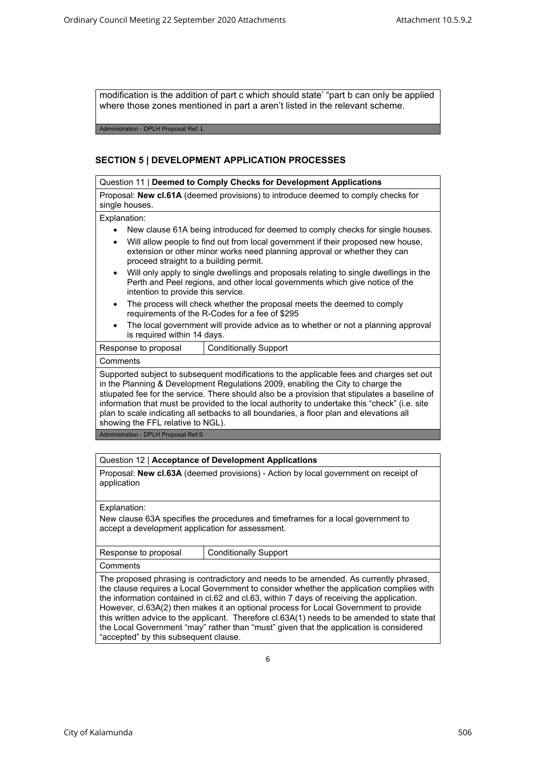modification is the addition of part c which should state' "part b can only be applied where those zones mentioned in part a aren't listed in the relevant scheme.

Administration - DPLH Proposal Ref: L

# **SECTION 5 | DEVELOPMENT APPLICATION PROCESSES**

#### Question 11 | **Deemed to Comply Checks for Development Applications**

Proposal: **New cl.61A** (deemed provisions) to introduce deemed to comply checks for single houses.

#### Explanation:

- New clause 61A being introduced for deemed to comply checks for single houses.
- Will allow people to find out from local government if their proposed new house, extension or other minor works need planning approval or whether they can proceed straight to a building permit.
- Will only apply to single dwellings and proposals relating to single dwellings in the Perth and Peel regions, and other local governments which give notice of the intention to provide this service.
- The process will check whether the proposal meets the deemed to comply requirements of the R-Codes for a fee of \$295
- The local government will provide advice as to whether or not a planning approval is required within 14 days.

## Response to proposal | Conditionally Support **Comments** Supported subject to subsequent modifications to the applicable fees and charges set out in the Planning & Development Regulations 2009, enabling the City to charge the stiupated fee for the service. There should also be a provision that stipulates a baseline of information that must be provided to the local authority to undertake this "check" (i.e. site plan to scale indicating all setbacks to all boundaries, a floor plan and elevations all showing the FFL relative to NGL).

Administration - DPLH Proposal Ref:S

# Question 12 | **Acceptance of Development Applications**

Proposal: **New cl.63A** (deemed provisions) - Action by local government on receipt of application

Explanation:

New clause 63A specifies the procedures and timeframes for a local government to accept a development application for assessment.

| Response to proposal | Conditionally Support |
|----------------------|-----------------------|
| $\sim$ Commonto      |                       |

Comments

The proposed phrasing is contradictory and needs to be amended. As currently phrased, the clause requires a Local Government to consider whether the application complies with the information contained in cl.62 and cl.63, within 7 days of receiving the application. However, cl.63A(2) then makes it an optional process for Local Government to provide this written advice to the applicant. Therefore cl.63A(1) needs to be amended to state that the Local Government "may" rather than "must" given that the application is considered "accepted" by this subsequent clause.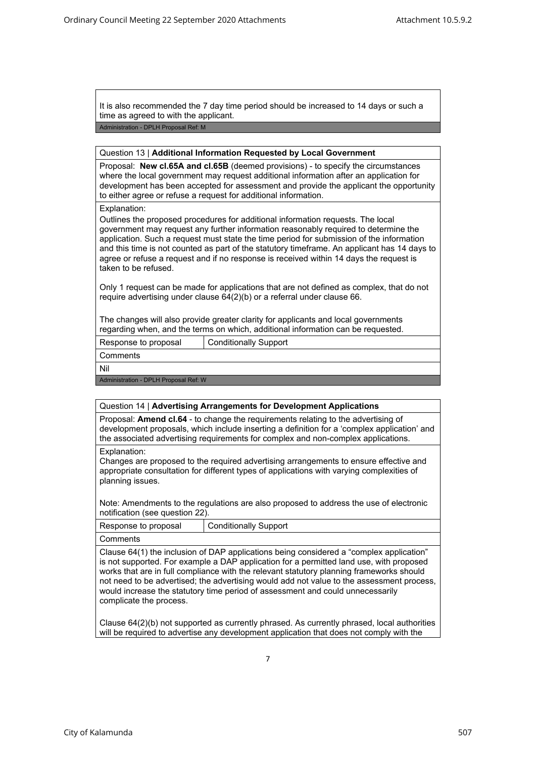It is also recommended the 7 day time period should be increased to 14 days or such a time as agreed to with the applicant.

Administration - DPLH Proposal Ref: M

#### Question 13 | **Additional Information Requested by Local Government**

Proposal: **New cl.65A and cl.65B** (deemed provisions) - to specify the circumstances where the local government may request additional information after an application for development has been accepted for assessment and provide the applicant the opportunity to either agree or refuse a request for additional information.

#### Explanation:

Outlines the proposed procedures for additional information requests. The local government may request any further information reasonably required to determine the application. Such a request must state the time period for submission of the information and this time is not counted as part of the statutory timeframe. An applicant has 14 days to agree or refuse a request and if no response is received within 14 days the request is taken to be refused.

Only 1 request can be made for applications that are not defined as complex, that do not require advertising under clause 64(2)(b) or a referral under clause 66.

The changes will also provide greater clarity for applicants and local governments regarding when, and the terms on which, additional information can be requested.

Response to proposal Conditionally Support

**Comments** 

Nil

Administration - DPLH Proposal Ref: W

#### Question 14 | **Advertising Arrangements for Development Applications**

Proposal: **Amend cl.64** - to change the requirements relating to the advertising of development proposals, which include inserting a definition for a 'complex application' and the associated advertising requirements for complex and non-complex applications.

Explanation:

Changes are proposed to the required advertising arrangements to ensure effective and appropriate consultation for different types of applications with varying complexities of planning issues.

Note: Amendments to the regulations are also proposed to address the use of electronic notification (see question 22).

| Response to proposal | Conditionally Support |
|----------------------|-----------------------|
| ∣ Comments           |                       |

Clause 64(1) the inclusion of DAP applications being considered a "complex application" is not supported. For example a DAP application for a permitted land use, with proposed works that are in full compliance with the relevant statutory planning frameworks should not need to be advertised; the advertising would add not value to the assessment process, would increase the statutory time period of assessment and could unnecessarily complicate the process.

Clause 64(2)(b) not supported as currently phrased. As currently phrased, local authorities will be required to advertise any development application that does not comply with the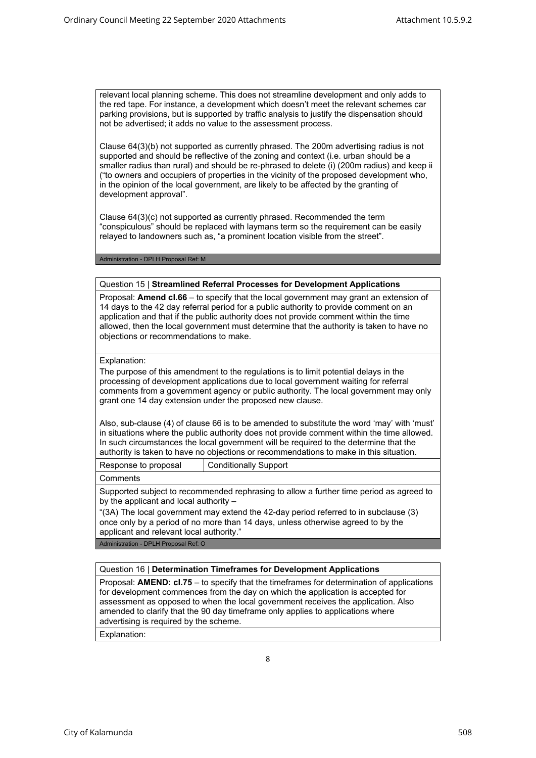relevant local planning scheme. This does not streamline development and only adds to the red tape. For instance, a development which doesn't meet the relevant schemes car parking provisions, but is supported by traffic analysis to justify the dispensation should not be advertised; it adds no value to the assessment process.

Clause 64(3)(b) not supported as currently phrased. The 200m advertising radius is not supported and should be reflective of the zoning and context (i.e. urban should be a smaller radius than rural) and should be re-phrased to delete (i) (200m radius) and keep ii ("to owners and occupiers of properties in the vicinity of the proposed development who, in the opinion of the local government, are likely to be affected by the granting of development approval".

Clause 64(3)(c) not supported as currently phrased. Recommended the term "conspiculous" should be replaced with laymans term so the requirement can be easily relayed to landowners such as, "a prominent location visible from the street".

Administration - DPLH Proposal Ref: M

## Question 15 | **Streamlined Referral Processes for Development Applications**

Proposal: **Amend cl.66** – to specify that the local government may grant an extension of 14 days to the 42 day referral period for a public authority to provide comment on an application and that if the public authority does not provide comment within the time allowed, then the local government must determine that the authority is taken to have no objections or recommendations to make.

Explanation:

The purpose of this amendment to the regulations is to limit potential delays in the processing of development applications due to local government waiting for referral comments from a government agency or public authority. The local government may only grant one 14 day extension under the proposed new clause.

Also, sub-clause (4) of clause 66 is to be amended to substitute the word 'may' with 'must' in situations where the public authority does not provide comment within the time allowed. In such circumstances the local government will be required to the determine that the authority is taken to have no objections or recommendations to make in this situation.

| Response to proposal | Conditionally Support |
|----------------------|-----------------------|
| $\sim$               |                       |

**Comments** 

Supported subject to recommended rephrasing to allow a further time period as agreed to by the applicant and local authority –

"(3A) The local government may extend the 42-day period referred to in subclause (3) once only by a period of no more than 14 days, unless otherwise agreed to by the applicant and relevant local authority."

Administration - DPLH Proposal Ref: O

### Question 16 | **Determination Timeframes for Development Applications**

Proposal: **AMEND: cl.75** – to specify that the timeframes for determination of applications for development commences from the day on which the application is accepted for assessment as opposed to when the local government receives the application. Also amended to clarify that the 90 day timeframe only applies to applications where advertising is required by the scheme.

Explanation: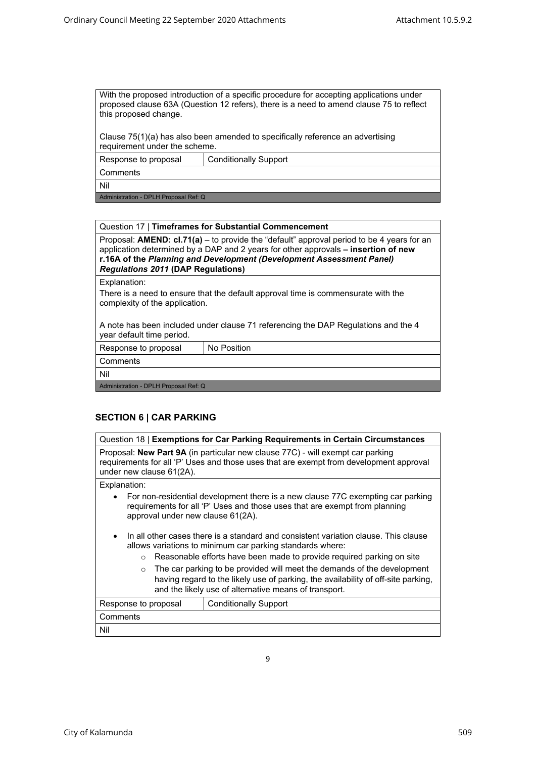With the proposed introduction of a specific procedure for accepting applications under proposed clause 63A (Question 12 refers), there is a need to amend clause 75 to reflect this proposed change.

Clause 75(1)(a) has also been amended to specifically reference an advertising requirement under the scheme.

Response to proposal Conditionally Support

**Comments** 

Nil

Administration - DPLH Proposal Ref: Q

### Question 17 | **Timeframes for Substantial Commencement**

Proposal: **AMEND: cl.71(a)** – to provide the "default" approval period to be 4 years for an application determined by a DAP and 2 years for other approvals **– insertion of new r.16A of the** *Planning and Development (Development Assessment Panel) Regulations 2011* **(DAP Regulations)**

Explanation:

There is a need to ensure that the default approval time is commensurate with the complexity of the application.

A note has been included under clause 71 referencing the DAP Regulations and the 4 year default time period.

Response to proposal | No Position

**Comments** 

Nil

Administration - DPLH Proposal Ref: Q

# **SECTION 6 | CAR PARKING**

| Question 18   Exemptions for Car Parking Requirements in Certain Circumstances                                                                                                                                                      |                              |  |  |
|-------------------------------------------------------------------------------------------------------------------------------------------------------------------------------------------------------------------------------------|------------------------------|--|--|
| Proposal: New Part 9A (in particular new clause 77C) - will exempt car parking<br>requirements for all 'P' Uses and those uses that are exempt from development approval<br>under new clause 61(2A).                                |                              |  |  |
| Explanation:                                                                                                                                                                                                                        |                              |  |  |
| For non-residential development there is a new clause 77C exempting car parking<br>requirements for all 'P' Uses and those uses that are exempt from planning<br>approval under new clause 61(2A).                                  |                              |  |  |
| In all other cases there is a standard and consistent variation clause. This clause<br>$\bullet$<br>allows variations to minimum car parking standards where:                                                                       |                              |  |  |
| Reasonable efforts have been made to provide required parking on site<br>$\Omega$                                                                                                                                                   |                              |  |  |
| The car parking to be provided will meet the demands of the development<br>$\bigcirc$<br>having regard to the likely use of parking, the availability of off-site parking,<br>and the likely use of alternative means of transport. |                              |  |  |
| Response to proposal                                                                                                                                                                                                                | <b>Conditionally Support</b> |  |  |
| Comments                                                                                                                                                                                                                            |                              |  |  |
| Nil                                                                                                                                                                                                                                 |                              |  |  |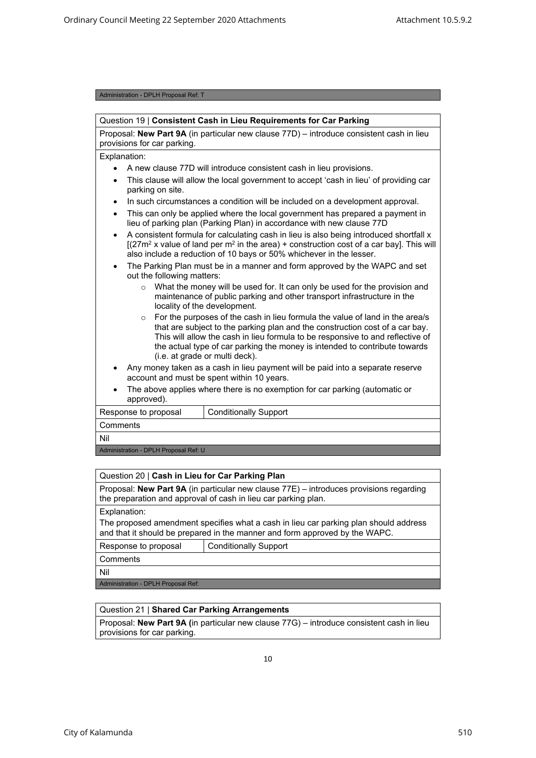#### Administration - DPLH Proposal Ref: T

| Question 19   Consistent Cash in Lieu Requirements for Car Parking                                                                                                                                                                                                                                                                                                        |                                                                                                                                                        |  |  |
|---------------------------------------------------------------------------------------------------------------------------------------------------------------------------------------------------------------------------------------------------------------------------------------------------------------------------------------------------------------------------|--------------------------------------------------------------------------------------------------------------------------------------------------------|--|--|
| Proposal: New Part 9A (in particular new clause 77D) - introduce consistent cash in lieu<br>provisions for car parking.                                                                                                                                                                                                                                                   |                                                                                                                                                        |  |  |
| Explanation:                                                                                                                                                                                                                                                                                                                                                              |                                                                                                                                                        |  |  |
|                                                                                                                                                                                                                                                                                                                                                                           | A new clause 77D will introduce consistent cash in lieu provisions.                                                                                    |  |  |
| $\bullet$<br>parking on site.                                                                                                                                                                                                                                                                                                                                             | This clause will allow the local government to accept 'cash in lieu' of providing car                                                                  |  |  |
| $\bullet$                                                                                                                                                                                                                                                                                                                                                                 | In such circumstances a condition will be included on a development approval.                                                                          |  |  |
| $\bullet$                                                                                                                                                                                                                                                                                                                                                                 | This can only be applied where the local government has prepared a payment in<br>lieu of parking plan (Parking Plan) in accordance with new clause 77D |  |  |
| A consistent formula for calculating cash in lieu is also being introduced shortfall x<br>$\bullet$<br>$[(27m2 x value of land per m2 in the area) + construction cost of a car bay]. This will$<br>also include a reduction of 10 bays or 50% whichever in the lesser.                                                                                                   |                                                                                                                                                        |  |  |
| $\bullet$                                                                                                                                                                                                                                                                                                                                                                 | The Parking Plan must be in a manner and form approved by the WAPC and set<br>out the following matters:                                               |  |  |
| What the money will be used for. It can only be used for the provision and<br>$\circ$<br>maintenance of public parking and other transport infrastructure in the<br>locality of the development.                                                                                                                                                                          |                                                                                                                                                        |  |  |
| For the purposes of the cash in lieu formula the value of land in the area/s<br>$\circ$<br>that are subject to the parking plan and the construction cost of a car bay.<br>This will allow the cash in lieu formula to be responsive to and reflective of<br>the actual type of car parking the money is intended to contribute towards<br>(i.e. at grade or multi deck). |                                                                                                                                                        |  |  |
| Any money taken as a cash in lieu payment will be paid into a separate reserve<br>account and must be spent within 10 years.                                                                                                                                                                                                                                              |                                                                                                                                                        |  |  |
| The above applies where there is no exemption for car parking (automatic or<br>approved).                                                                                                                                                                                                                                                                                 |                                                                                                                                                        |  |  |
| Response to proposal                                                                                                                                                                                                                                                                                                                                                      | <b>Conditionally Support</b>                                                                                                                           |  |  |
| Comments                                                                                                                                                                                                                                                                                                                                                                  |                                                                                                                                                        |  |  |
| Nil                                                                                                                                                                                                                                                                                                                                                                       |                                                                                                                                                        |  |  |
| Administration - DPLH Proposal Ref: U                                                                                                                                                                                                                                                                                                                                     |                                                                                                                                                        |  |  |

#### Question 20 | **Cash in Lieu for Car Parking Plan**

Proposal: **New Part 9A** (in particular new clause 77E) – introduces provisions regarding the preparation and approval of cash in lieu car parking plan.

Explanation:

The proposed amendment specifies what a cash in lieu car parking plan should address and that it should be prepared in the manner and form approved by the WAPC.

Response to proposal | Conditionally Support

**Comments** 

Nil

Administration - DPLH Proposal Ref:

## Question 21 | **Shared Car Parking Arrangements**

Proposal: **New Part 9A (**in particular new clause 77G) – introduce consistent cash in lieu provisions for car parking.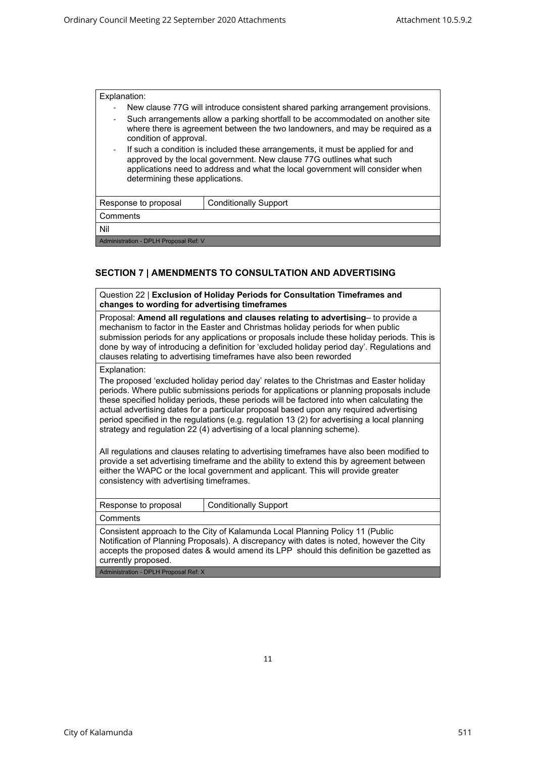| Explanation:                          |                                                                                                                                                                                                                                                                           |  |  |
|---------------------------------------|---------------------------------------------------------------------------------------------------------------------------------------------------------------------------------------------------------------------------------------------------------------------------|--|--|
| ٠                                     | New clause 77G will introduce consistent shared parking arrangement provisions.                                                                                                                                                                                           |  |  |
| $\qquad \qquad \blacksquare$          | Such arrangements allow a parking shortfall to be accommodated on another site<br>where there is agreement between the two landowners, and may be required as a<br>condition of approval.                                                                                 |  |  |
| $\overline{\phantom{a}}$              | If such a condition is included these arrangements, it must be applied for and<br>approved by the local government. New clause 77G outlines what such<br>applications need to address and what the local government will consider when<br>determining these applications. |  |  |
| Response to proposal                  | <b>Conditionally Support</b>                                                                                                                                                                                                                                              |  |  |
| Comments                              |                                                                                                                                                                                                                                                                           |  |  |
| Nil                                   |                                                                                                                                                                                                                                                                           |  |  |
| Administration - DPLH Proposal Ref: V |                                                                                                                                                                                                                                                                           |  |  |

# **SECTION 7 | AMENDMENTS TO CONSULTATION AND ADVERTISING**

| Question 22   Exclusion of Holiday Periods for Consultation Timeframes and<br>changes to wording for advertising timeframes                                                                                                                                                                                                                                                                                                                                                                                                                                                                                                                                                                                                                                                                                                                                                                  |  |  |
|----------------------------------------------------------------------------------------------------------------------------------------------------------------------------------------------------------------------------------------------------------------------------------------------------------------------------------------------------------------------------------------------------------------------------------------------------------------------------------------------------------------------------------------------------------------------------------------------------------------------------------------------------------------------------------------------------------------------------------------------------------------------------------------------------------------------------------------------------------------------------------------------|--|--|
| Proposal: Amend all regulations and clauses relating to advertising- to provide a<br>mechanism to factor in the Easter and Christmas holiday periods for when public<br>submission periods for any applications or proposals include these holiday periods. This is<br>done by way of introducing a definition for 'excluded holiday period day'. Regulations and<br>clauses relating to advertising timeframes have also been reworded                                                                                                                                                                                                                                                                                                                                                                                                                                                      |  |  |
| Explanation:<br>The proposed 'excluded holiday period day' relates to the Christmas and Easter holiday<br>periods. Where public submissions periods for applications or planning proposals include<br>these specified holiday periods, these periods will be factored into when calculating the<br>actual advertising dates for a particular proposal based upon any required advertising<br>period specified in the regulations (e.g. regulation 13 (2) for advertising a local planning<br>strategy and regulation 22 (4) advertising of a local planning scheme).<br>All regulations and clauses relating to advertising timeframes have also been modified to<br>provide a set advertising timeframe and the ability to extend this by agreement between<br>either the WAPC or the local government and applicant. This will provide greater<br>consistency with advertising timeframes. |  |  |
| <b>Conditionally Support</b><br>Response to proposal                                                                                                                                                                                                                                                                                                                                                                                                                                                                                                                                                                                                                                                                                                                                                                                                                                         |  |  |
| Comments                                                                                                                                                                                                                                                                                                                                                                                                                                                                                                                                                                                                                                                                                                                                                                                                                                                                                     |  |  |
| Consistent approach to the City of Kalamunda Local Planning Policy 11 (Public<br>Notification of Planning Proposals). A discrepancy with dates is noted, however the City<br>accepts the proposed dates & would amend its LPP should this definition be gazetted as<br>currently proposed.                                                                                                                                                                                                                                                                                                                                                                                                                                                                                                                                                                                                   |  |  |
| Administration - DPLH Proposal Ref: X                                                                                                                                                                                                                                                                                                                                                                                                                                                                                                                                                                                                                                                                                                                                                                                                                                                        |  |  |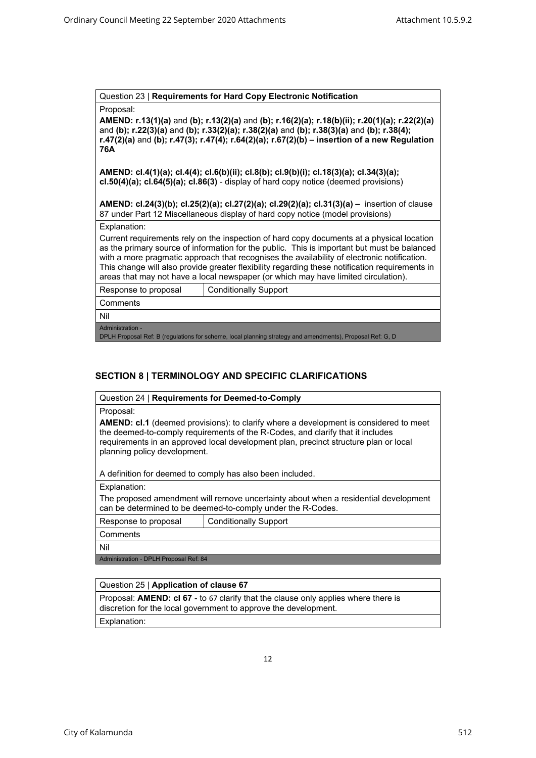Question 23 | **Requirements for Hard Copy Electronic Notification** 

Proposal:

**AMEND: r.13(1)(a)** and **(b); r.13(2)(a)** and **(b); r.16(2)(a); r.18(b)(ii); r.20(1)(a); r.22(2)(a)**  and **(b); r.22(3)(a)** and **(b); r.33(2)(a); r.38(2)(a)** and **(b); r.38(3)(a)** and **(b); r.38(4); r.47(2)(a)** and **(b); r.47(3); r.47(4); r.64(2)(a); r.67(2)(b) – insertion of a new Regulation 76A**

**AMEND: cl.4(1)(a); cl.4(4); cl.6(b)(ii); cl.8(b); cl.9(b)(i); cl.18(3)(a); cl.34(3)(a); cl.50(4)(a); cl.64(5)(a); cl.86(3)** - display of hard copy notice (deemed provisions)

**AMEND: cl.24(3)(b); cl.25(2)(a); cl.27(2)(a); cl.29(2)(a); cl.31(3)(a) –** insertion of clause 87 under Part 12 Miscellaneous display of hard copy notice (model provisions)

Explanation:

Current requirements rely on the inspection of hard copy documents at a physical location as the primary source of information for the public. This is important but must be balanced with a more pragmatic approach that recognises the availability of electronic notification. This change will also provide greater flexibility regarding these notification requirements in areas that may not have a local newspaper (or which may have limited circulation).

|                                       | Response to proposal | <b>Conditionally Support</b> |
|---------------------------------------|----------------------|------------------------------|
|                                       | Comments             |                              |
|                                       | Nil                  |                              |
|                                       | Administration -     |                              |
| DOULD IDED IT CITE IT IS A RESIDENCE. |                      |                              |

 $\mid$  DPLH Proposal Ref: B (regulations for scheme, local planning strategy and am $\mid$ 

# **SECTION 8 | TERMINOLOGY AND SPECIFIC CLARIFICATIONS**

| Question 24   Requirements for Deemed-to-Comply                                                                                                                                                                                                                                                        |
|--------------------------------------------------------------------------------------------------------------------------------------------------------------------------------------------------------------------------------------------------------------------------------------------------------|
| Proposal:                                                                                                                                                                                                                                                                                              |
| <b>AMEND: cl.1</b> (deemed provisions): to clarify where a development is considered to meet<br>the deemed-to-comply requirements of the R-Codes, and clarify that it includes<br>requirements in an approved local development plan, precinct structure plan or local<br>planning policy development. |
| A definition for deemed to comply has also been included.                                                                                                                                                                                                                                              |
| Explanation:                                                                                                                                                                                                                                                                                           |

The proposed amendment will remove uncertainty about when a residential development can be determined to be deemed-to-comply under the R-Codes.

Response to proposal Conditionally Support

**Comments** 

Nil

Administration - DPLH Proposal Ref: 84

### Question 25 | **Application of clause 67**

Proposal: **AMEND: cl 67** - to 67 clarify that the clause only applies where there is discretion for the local government to approve the development.

Explanation: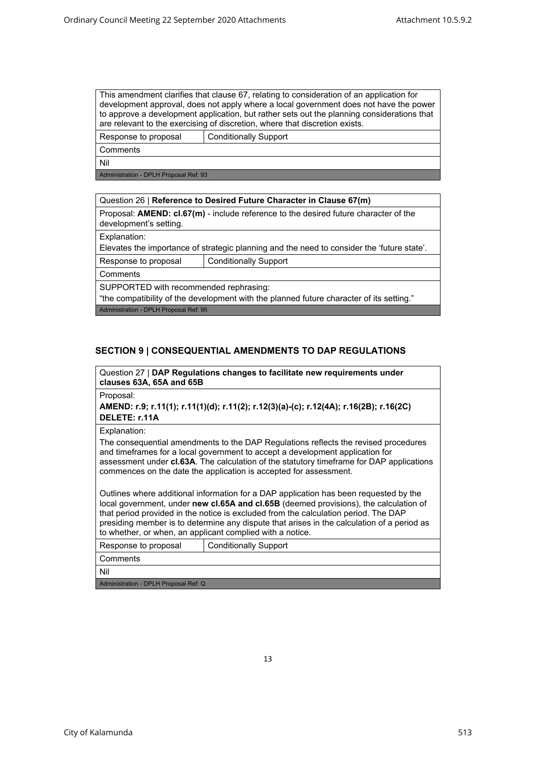#### This amendment clarifies that clause 67, relating to consideration of an application for development approval, does not apply where a local government does not have the power to approve a development application, but rather sets out the planning considerations that are relevant to the exercising of discretion, where that discretion exists.

Response to proposal Conditionally Support

**Comments** 

Nil

Administration - DPLH Proposal Ref: 93

# Question 26 | **Reference to Desired Future Character in Clause 67(m)** Proposal: **AMEND: cl.67(m)** - include reference to the desired future character of the development's setting. Explanation: Elevates the importance of strategic planning and the need to consider the 'future state'. Response to proposal | Conditionally Support **Comments** SUPPORTED with recommended rephrasing: "the compatibility of the development with the planned future character of its setting." Administration - DPLH Proposal Ref: 95

# **SECTION 9 | CONSEQUENTIAL AMENDMENTS TO DAP REGULATIONS**

Question 27 | **DAP Regulations changes to facilitate new requirements under clauses 63A, 65A and 65B** 

Proposal:

**AMEND: r.9; r.11(1); r.11(1)(d); r.11(2); r.12(3)(a)-(c); r.12(4A); r.16(2B); r.16(2C) DELETE: r.11A**

Explanation:

The consequential amendments to the DAP Regulations reflects the revised procedures and timeframes for a local government to accept a development application for assessment under **cl.63A**. The calculation of the statutory timeframe for DAP applications commences on the date the application is accepted for assessment.

Outlines where additional information for a DAP application has been requested by the local government, under **new cl.65A and cl.65B** (deemed provisions), the calculation of that period provided in the notice is excluded from the calculation period. The DAP presiding member is to determine any dispute that arises in the calculation of a period as to whether, or when, an applicant complied with a notice.

| Response to proposal                  | <b>Conditionally Support</b> |  |
|---------------------------------------|------------------------------|--|
| <sup>⊦</sup> Comments                 |                              |  |
| Nil                                   |                              |  |
| Administration - DPLH Proposal Ref: Q |                              |  |